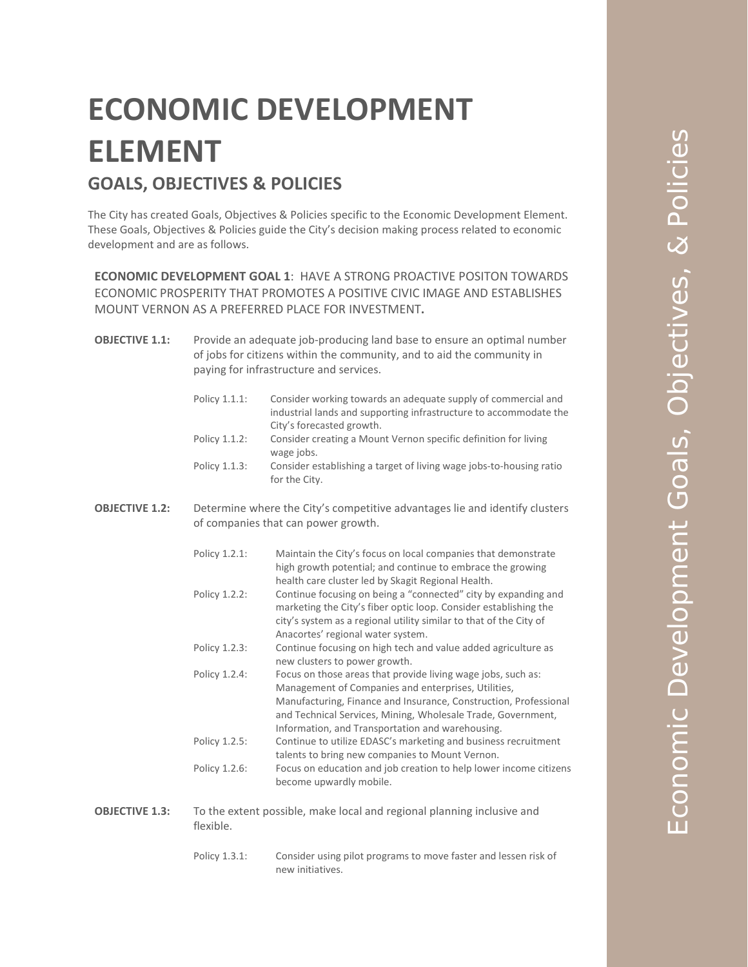## **ECONOMIC DEVELOPMENT ELEMENT GOALS, OBJECTIVES & POLICIES**

The City has created Goals, Objectives & Policies specific to the Economic Development Element. These Goals, Objectives & Policies guide the City's decision making process related to economic development and are as follows.

**ECONOMIC DEVELOPMENT GOAL 1**: HAVE A STRONG PROACTIVE POSITON TOWARDS ECONOMIC PROSPERITY THAT PROMOTES A POSITIVE CIVIC IMAGE AND ESTABLISHES MOUNT VERNON AS A PREFERRED PLACE FOR INVESTMENT**.**

**OBJECTIVE 1.1:** Provide an adequate job-producing land base to ensure an optimal number of jobs for citizens within the community, and to aid the community in paying for infrastructure and services.

| Policy 1.1.1: | Consider working towards an adequate supply of commercial and       |
|---------------|---------------------------------------------------------------------|
|               | industrial lands and supporting infrastructure to accommodate the   |
|               | City's forecasted growth.                                           |
| Policy 1.1.2: | Consider creating a Mount Vernon specific definition for living     |
|               | wage jobs.                                                          |
| Policy 1.1.3: | Consider establishing a target of living wage jobs-to-housing ratio |
|               | for the City.                                                       |

**OBJECTIVE 1.2:** Determine where the City's competitive advantages lie and identify clusters of companies that can power growth.

| Policy 1.2.1: | Maintain the City's focus on local companies that demonstrate      |
|---------------|--------------------------------------------------------------------|
|               | high growth potential; and continue to embrace the growing         |
|               | health care cluster led by Skagit Regional Health.                 |
| Policy 1.2.2: | Continue focusing on being a "connected" city by expanding and     |
|               | marketing the City's fiber optic loop. Consider establishing the   |
|               | city's system as a regional utility similar to that of the City of |
|               | Anacortes' regional water system.                                  |
| Policy 1.2.3: | Continue focusing on high tech and value added agriculture as      |
|               | new clusters to power growth.                                      |
| Policy 1.2.4: | Focus on those areas that provide living wage jobs, such as:       |
|               | Management of Companies and enterprises, Utilities,                |
|               | Manufacturing, Finance and Insurance, Construction, Professional   |
|               | and Technical Services, Mining, Wholesale Trade, Government,       |
|               | Information, and Transportation and warehousing.                   |
| Policy 1.2.5: | Continue to utilize EDASC's marketing and business recruitment     |
|               | talents to bring new companies to Mount Vernon.                    |
| Policy 1.2.6: | Focus on education and job creation to help lower income citizens  |
|               | become upwardly mobile.                                            |
|               |                                                                    |
|               |                                                                    |

**OBJECTIVE 1.3:** To the extent possible, make local and regional planning inclusive and flexible.

> Policy 1.3.1: Consider using pilot programs to move faster and lessen risk of new initiatives.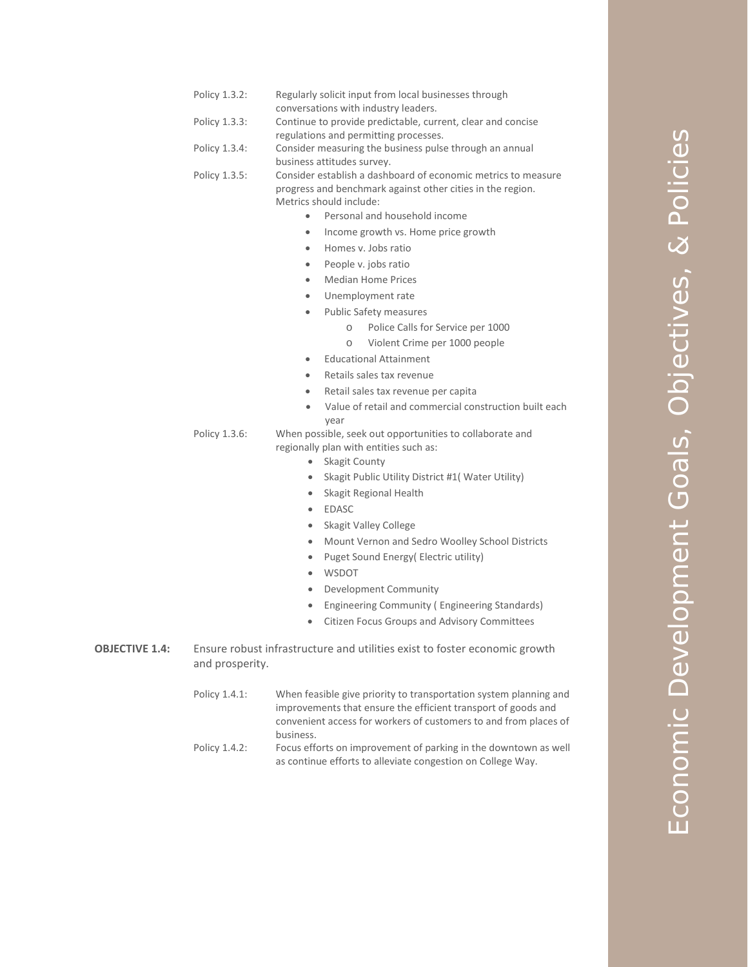| Policy 1.3.2: | Regularly solicit input from local businesses through |
|---------------|-------------------------------------------------------|
|               | conversations with industry leaders.                  |

- Policy 1.3.3: Continue to provide predictable, current, clear and concise regulations and permitting processes.
- Policy 1.3.4: Consider measuring the business pulse through an annual business attitudes survey.

```
Policy 1.3.5: Consider establish a dashboard of economic metrics to measure 
     progress and benchmark against other cities in the region. 
     Metrics should include:
```
- Personal and household income
- Income growth vs. Home price growth
- Homes v. Jobs ratio
- People v. jobs ratio
- Median Home Prices
- Unemployment rate
- Public Safety measures
	- o Police Calls for Service per 1000
	- o Violent Crime per 1000 people
	- Educational Attainment
- Retails sales tax revenue
- Retail sales tax revenue per capita
- Value of retail and commercial construction built each year

## Policy 1.3.6: When possible, seek out opportunities to collaborate and regionally plan with entities such as:

- Skagit County
- Skagit Public Utility District #1( Water Utility)
- Skagit Regional Health
- **EDASC**
- Skagit Valley College
- Mount Vernon and Sedro Woolley School Districts
- Puget Sound Energy( Electric utility)
- WSDOT
- Development Community
- Engineering Community ( Engineering Standards)
- Citizen Focus Groups and Advisory Committees
- **OBJECTIVE 1.4:** Ensure robust infrastructure and utilities exist to foster economic growth and prosperity.
	- Policy 1.4.1: When feasible give priority to transportation system planning and improvements that ensure the efficient transport of goods and convenient access for workers of customers to and from places of business.
	- Policy 1.4.2: Focus efforts on improvement of parking in the downtown as well as continue efforts to alleviate congestion on College Way.